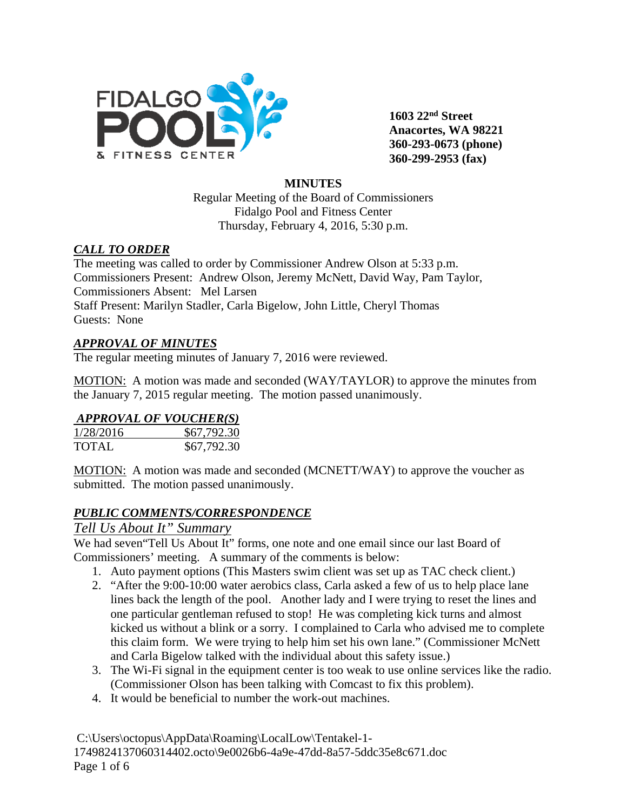

**1603 22nd Street Anacortes, WA 98221 360-293-0673 (phone) 360-299-2953 (fax)**

### **MINUTES**

Regular Meeting of the Board of Commissioners Fidalgo Pool and Fitness Center Thursday, February 4, 2016, 5:30 p.m.

### *CALL TO ORDER*

The meeting was called to order by Commissioner Andrew Olson at 5:33 p.m. Commissioners Present: Andrew Olson, Jeremy McNett, David Way, Pam Taylor, Commissioners Absent: Mel Larsen Staff Present: Marilyn Stadler, Carla Bigelow, John Little, Cheryl Thomas Guests: None

### *APPROVAL OF MINUTES*

The regular meeting minutes of January 7, 2016 were reviewed.

MOTION: A motion was made and seconded (WAY/TAYLOR) to approve the minutes from the January 7, 2015 regular meeting. The motion passed unanimously.

## *APPROVAL OF VOUCHER(S)*

| 1/28/2016    | \$67,792.30 |
|--------------|-------------|
| <b>TOTAL</b> | \$67,792.30 |

MOTION: A motion was made and seconded (MCNETT/WAY) to approve the voucher as submitted. The motion passed unanimously.

## *PUBLIC COMMENTS/CORRESPONDENCE*

## *Tell Us About It" Summary*

We had seven "Tell Us About It" forms, one note and one email since our last Board of Commissioners' meeting. A summary of the comments is below:

- 1. Auto payment options (This Masters swim client was set up as TAC check client.)
- 2. "After the 9:00-10:00 water aerobics class, Carla asked a few of us to help place lane lines back the length of the pool. Another lady and I were trying to reset the lines and one particular gentleman refused to stop! He was completing kick turns and almost kicked us without a blink or a sorry. I complained to Carla who advised me to complete this claim form. We were trying to help him set his own lane." (Commissioner McNett and Carla Bigelow talked with the individual about this safety issue.)
- 3. The Wi-Fi signal in the equipment center is too weak to use online services like the radio. (Commissioner Olson has been talking with Comcast to fix this problem).
- 4. It would be beneficial to number the work-out machines.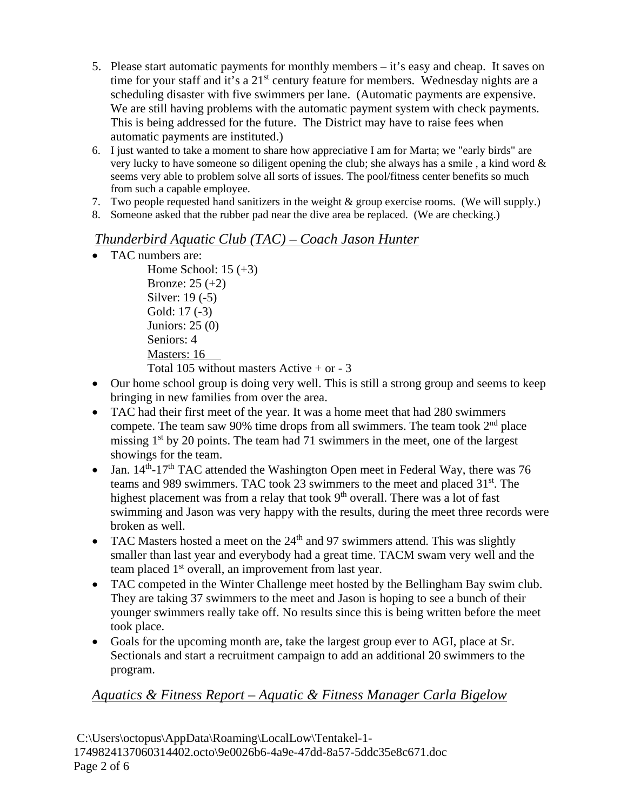- 5. Please start automatic payments for monthly members it's easy and cheap. It saves on time for your staff and it's a  $21<sup>st</sup>$  century feature for members. Wednesday nights are a scheduling disaster with five swimmers per lane. (Automatic payments are expensive. We are still having problems with the automatic payment system with check payments. This is being addressed for the future. The District may have to raise fees when automatic payments are instituted.)
- 6. I just wanted to take a moment to share how appreciative I am for Marta; we "early birds" are very lucky to have someone so diligent opening the club; she always has a smile , a kind word & seems very able to problem solve all sorts of issues. The pool/fitness center benefits so much from such a capable employee.
- 7. Two people requested hand sanitizers in the weight & group exercise rooms. (We will supply.)
- 8. Someone asked that the rubber pad near the dive area be replaced. (We are checking.)

# *Thunderbird Aquatic Club (TAC) – Coach Jason Hunter*

- TAC numbers are:
	- Home School:  $15 (+3)$ Bronze: 25 (+2) Silver: 19 (-5) Gold: 17 (-3) Juniors: 25 (0) Seniors: 4 Masters: 16 Total 105 without masters Active  $+$  or  $-3$
- Our home school group is doing very well. This is still a strong group and seems to keep bringing in new families from over the area.
- TAC had their first meet of the year. It was a home meet that had 280 swimmers compete. The team saw 90% time drops from all swimmers. The team took  $2<sup>nd</sup>$  place missing  $1<sup>st</sup>$  by 20 points. The team had 71 swimmers in the meet, one of the largest showings for the team.
- Jan.  $14<sup>th</sup>$ -17<sup>th</sup> TAC attended the Washington Open meet in Federal Way, there was 76 teams and 989 swimmers. TAC took 23 swimmers to the meet and placed 31st. The highest placement was from a relay that took  $9<sup>th</sup>$  overall. There was a lot of fast swimming and Jason was very happy with the results, during the meet three records were broken as well.
- TAC Masters hosted a meet on the  $24<sup>th</sup>$  and 97 swimmers attend. This was slightly smaller than last year and everybody had a great time. TACM swam very well and the team placed 1<sup>st</sup> overall, an improvement from last year.
- TAC competed in the Winter Challenge meet hosted by the Bellingham Bay swim club. They are taking 37 swimmers to the meet and Jason is hoping to see a bunch of their younger swimmers really take off. No results since this is being written before the meet took place.
- Goals for the upcoming month are, take the largest group ever to AGI, place at Sr. Sectionals and start a recruitment campaign to add an additional 20 swimmers to the program.

# *Aquatics & Fitness Report – Aquatic & Fitness Manager Carla Bigelow*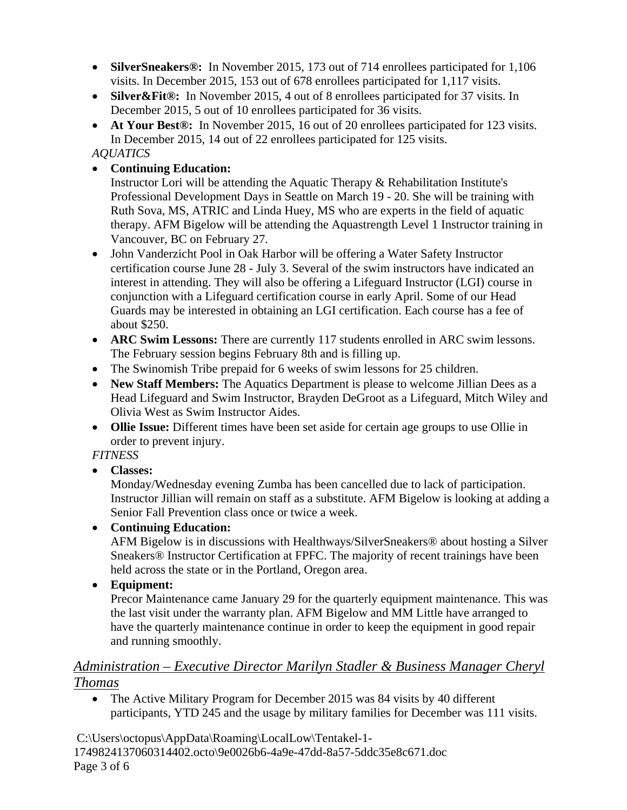- **SilverSneakers®:** In November 2015, 173 out of 714 enrollees participated for 1,106 visits. In December 2015, 153 out of 678 enrollees participated for 1,117 visits.
- Silver&Fit®: In November 2015, 4 out of 8 enrollees participated for 37 visits. In December 2015, 5 out of 10 enrollees participated for 36 visits.
- **At Your Best®:** In November 2015, 16 out of 20 enrollees participated for 123 visits. In December 2015, 14 out of 22 enrollees participated for 125 visits.

## *AQUATICS*

• **Continuing Education:** 

Instructor Lori will be attending the Aquatic Therapy & Rehabilitation Institute's Professional Development Days in Seattle on March 19 - 20. She will be training with Ruth Sova, MS, ATRIC and Linda Huey, MS who are experts in the field of aquatic therapy. AFM Bigelow will be attending the Aquastrength Level 1 Instructor training in Vancouver, BC on February 27.

- John Vanderzicht Pool in Oak Harbor will be offering a Water Safety Instructor certification course June 28 - July 3. Several of the swim instructors have indicated an interest in attending. They will also be offering a Lifeguard Instructor (LGI) course in conjunction with a Lifeguard certification course in early April. Some of our Head Guards may be interested in obtaining an LGI certification. Each course has a fee of about \$250.
- **ARC Swim Lessons:** There are currently 117 students enrolled in ARC swim lessons. The February session begins February 8th and is filling up.
- The Swinomish Tribe prepaid for 6 weeks of swim lessons for 25 children.
- **New Staff Members:** The Aquatics Department is please to welcome Jillian Dees as a Head Lifeguard and Swim Instructor, Brayden DeGroot as a Lifeguard, Mitch Wiley and Olivia West as Swim Instructor Aides.
- **Ollie Issue:** Different times have been set aside for certain age groups to use Ollie in order to prevent injury.

*FITNESS*

• **Classes:** 

Monday/Wednesday evening Zumba has been cancelled due to lack of participation. Instructor Jillian will remain on staff as a substitute. AFM Bigelow is looking at adding a Senior Fall Prevention class once or twice a week.

• **Continuing Education:**

AFM Bigelow is in discussions with Healthways/SilverSneakers® about hosting a Silver Sneakers® Instructor Certification at FPFC. The majority of recent trainings have been held across the state or in the Portland, Oregon area.

• **Equipment:**

Precor Maintenance came January 29 for the quarterly equipment maintenance. This was the last visit under the warranty plan. AFM Bigelow and MM Little have arranged to have the quarterly maintenance continue in order to keep the equipment in good repair and running smoothly.

# *Administration – Executive Director Marilyn Stadler & Business Manager Cheryl Thomas*

• The Active Military Program for December 2015 was 84 visits by 40 different participants, YTD 245 and the usage by military families for December was 111 visits.

C:\Users\octopus\AppData\Roaming\LocalLow\Tentakel-1- 1749824137060314402.octo\9e0026b6-4a9e-47dd-8a57-5ddc35e8c671.doc Page 3 of 6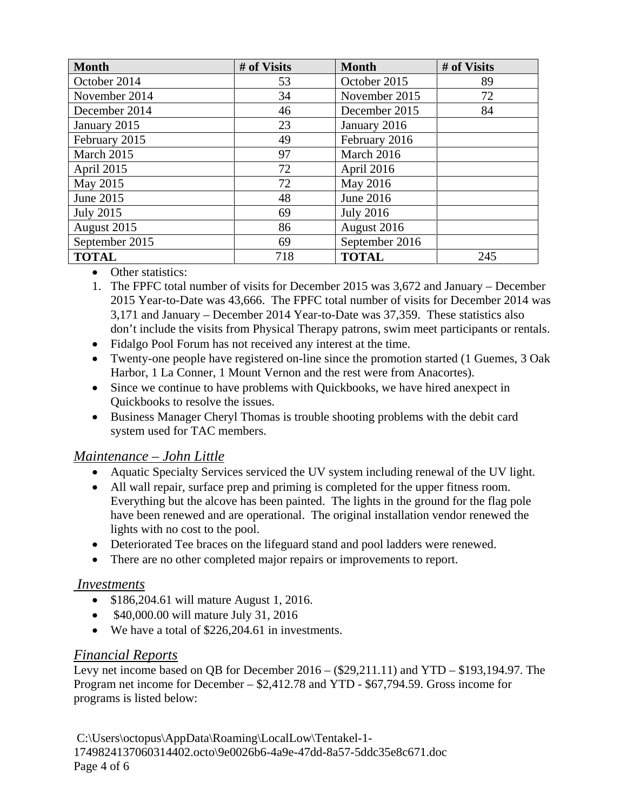| <b>Month</b>     | # of Visits | <b>Month</b>        | # of Visits |  |
|------------------|-------------|---------------------|-------------|--|
| October 2014     | 53          | October 2015        | 89          |  |
| November 2014    | 34          | November 2015       | 72          |  |
| December 2014    | 46          | December 2015       | 84          |  |
| January 2015     | 23          | January 2016        |             |  |
| February 2015    | 49          | February 2016       |             |  |
| March 2015       | 97          | March 2016          |             |  |
| April 2015       | 72          | April 2016          |             |  |
| May 2015         | 72          | May 2016            |             |  |
| June 2015        | 48          | June 2016           |             |  |
| <b>July 2015</b> | 69          | <b>July 2016</b>    |             |  |
| August 2015      | 86          | August 2016         |             |  |
| September 2015   | 69          | September 2016      |             |  |
| <b>TOTAL</b>     | 718         | <b>TOTAL</b><br>245 |             |  |

- Other statistics:
- 1. The FPFC total number of visits for December 2015 was 3,672 and January December 2015 Year-to-Date was 43,666. The FPFC total number of visits for December 2014 was 3,171 and January – December 2014 Year-to-Date was 37,359. These statistics also don't include the visits from Physical Therapy patrons, swim meet participants or rentals.
- Fidalgo Pool Forum has not received any interest at the time.
- Twenty-one people have registered on-line since the promotion started (1 Guemes, 3 Oak Harbor, 1 La Conner, 1 Mount Vernon and the rest were from Anacortes).
- Since we continue to have problems with Quickbooks, we have hired anexpect in Quickbooks to resolve the issues.
- Business Manager Cheryl Thomas is trouble shooting problems with the debit card system used for TAC members.

## *Maintenance – John Little*

- Aquatic Specialty Services serviced the UV system including renewal of the UV light.
- All wall repair, surface prep and priming is completed for the upper fitness room. Everything but the alcove has been painted. The lights in the ground for the flag pole have been renewed and are operational. The original installation vendor renewed the lights with no cost to the pool.
- Deteriorated Tee braces on the lifeguard stand and pool ladders were renewed.
- There are no other completed major repairs or improvements to report.

## *Investments*

- \$186,204.61 will mature August 1, 2016.
- \$40,000.00 will mature July 31, 2016
- We have a total of \$226,204.61 in investments.

## *Financial Reports*

Levy net income based on QB for December 2016 – (\$29,211.11) and YTD – \$193,194.97. The Program net income for December – \$2,412.78 and YTD - \$67,794.59. Gross income for programs is listed below:

C:\Users\octopus\AppData\Roaming\LocalLow\Tentakel-1- 1749824137060314402.octo\9e0026b6-4a9e-47dd-8a57-5ddc35e8c671.doc Page 4 of 6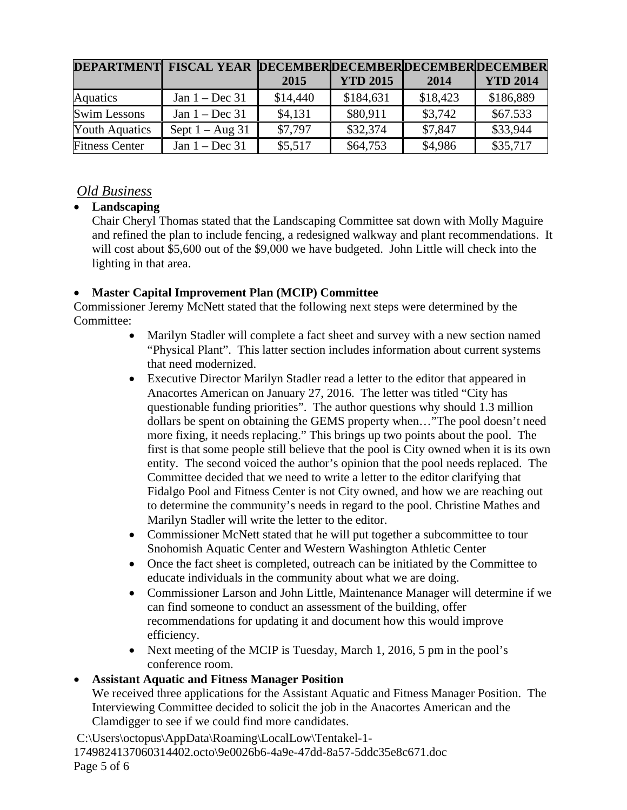|                       | DEPARTMENT FISCAL YEAR DECEMBERDECEMBERDECEMBERDECEMBER |          |                 |          |                 |
|-----------------------|---------------------------------------------------------|----------|-----------------|----------|-----------------|
|                       |                                                         | 2015     | <b>YTD 2015</b> | 2014     | <b>YTD 2014</b> |
| Aquatics              | Jan $1 - Dec 31$                                        | \$14,440 | \$184,631       | \$18,423 | \$186,889       |
| <b>Swim Lessons</b>   | Jan $1 - Dec 31$                                        | \$4,131  | \$80,911        | \$3,742  | \$67.533        |
| <b>Youth Aquatics</b> | Sept $1 - Aug\ 31$                                      | \$7,797  | \$32,374        | \$7,847  | \$33,944        |
| <b>Fitness Center</b> | Jan $1 - Dec 31$                                        | \$5,517  | \$64,753        | \$4,986  | \$35,717        |

# *Old Business*

## • **Landscaping**

Chair Cheryl Thomas stated that the Landscaping Committee sat down with Molly Maguire and refined the plan to include fencing, a redesigned walkway and plant recommendations. It will cost about \$5,600 out of the \$9,000 we have budgeted. John Little will check into the lighting in that area.

## • **Master Capital Improvement Plan (MCIP) Committee**

Commissioner Jeremy McNett stated that the following next steps were determined by the Committee:

- Marilyn Stadler will complete a fact sheet and survey with a new section named "Physical Plant". This latter section includes information about current systems that need modernized.
- Executive Director Marilyn Stadler read a letter to the editor that appeared in Anacortes American on January 27, 2016. The letter was titled "City has questionable funding priorities". The author questions why should 1.3 million dollars be spent on obtaining the GEMS property when…"The pool doesn't need more fixing, it needs replacing." This brings up two points about the pool. The first is that some people still believe that the pool is City owned when it is its own entity. The second voiced the author's opinion that the pool needs replaced. The Committee decided that we need to write a letter to the editor clarifying that Fidalgo Pool and Fitness Center is not City owned, and how we are reaching out to determine the community's needs in regard to the pool. Christine Mathes and Marilyn Stadler will write the letter to the editor.
- Commissioner McNett stated that he will put together a subcommittee to tour Snohomish Aquatic Center and Western Washington Athletic Center
- Once the fact sheet is completed, outreach can be initiated by the Committee to educate individuals in the community about what we are doing.
- Commissioner Larson and John Little, Maintenance Manager will determine if we can find someone to conduct an assessment of the building, offer recommendations for updating it and document how this would improve efficiency.
- Next meeting of the MCIP is Tuesday, March 1, 2016, 5 pm in the pool's conference room.

# • **Assistant Aquatic and Fitness Manager Position**

We received three applications for the Assistant Aquatic and Fitness Manager Position. The Interviewing Committee decided to solicit the job in the Anacortes American and the Clamdigger to see if we could find more candidates.

C:\Users\octopus\AppData\Roaming\LocalLow\Tentakel-1- 1749824137060314402.octo\9e0026b6-4a9e-47dd-8a57-5ddc35e8c671.doc Page 5 of 6